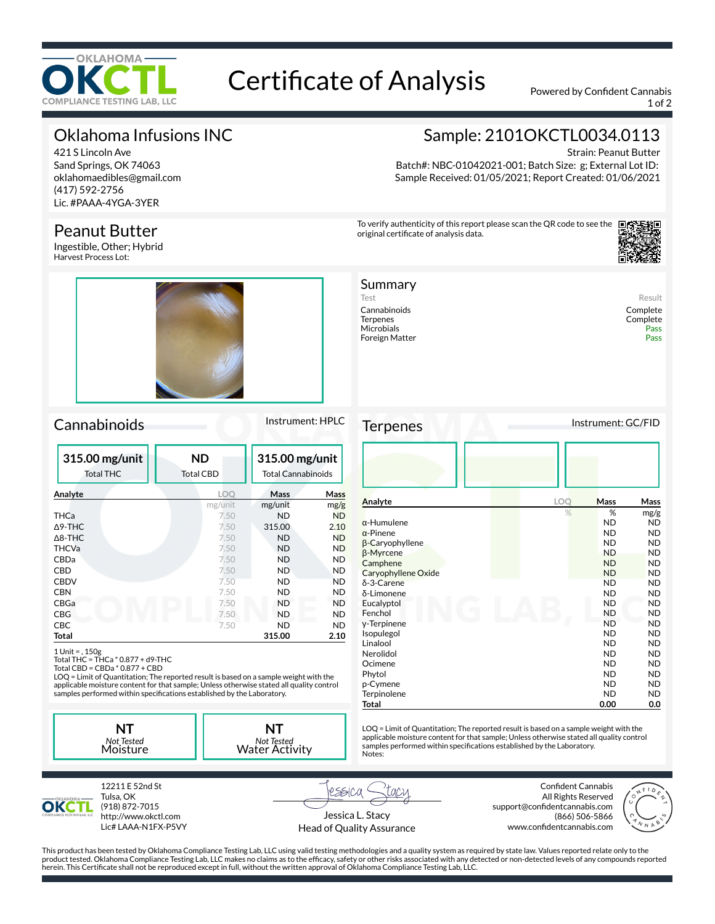

# Certificate of Analysis Powered by Confident Cannabis

1 of 2

## Oklahoma Infusions INC

421 S Lincoln Ave Sand Springs, OK 74063 oklahomaedibles@gmail.com (417) 592-2756 Lic. #PAAA-4YGA-3YER

## Peanut Butter

Ingestible, Other; Hybrid Harvest Process Lot:



### Cannabinoids Instrument: HPLC

| 315.00 mg/unit<br><b>Total THC</b> | <b>ND</b><br>Total CBD | 315.00 mg/unit<br><b>Total Cannabinoids</b> |           |
|------------------------------------|------------------------|---------------------------------------------|-----------|
| Analyte                            | LOO                    | Mass                                        | Mass      |
|                                    | mg/unit                | mg/unit                                     | mg/g      |
| THCa                               | 7.50                   | <b>ND</b>                                   | <b>ND</b> |
| $\Delta$ 9-THC                     | 7.50                   | 315.00                                      | 2.10      |
| $\Delta$ 8-THC                     | 7.50                   | <b>ND</b>                                   | <b>ND</b> |
| <b>THCVa</b>                       | 7.50                   | <b>ND</b>                                   | <b>ND</b> |
| CBDa                               | 7.50                   | <b>ND</b>                                   | <b>ND</b> |
| <b>CBD</b>                         | 7.50                   | <b>ND</b>                                   | <b>ND</b> |
| <b>CBDV</b>                        | 7.50                   | ND                                          | ND        |
| <b>CBN</b>                         | 7.50                   | ND                                          | ND        |
| CBGa                               | 7.50                   | <b>ND</b>                                   | <b>ND</b> |
| <b>CBG</b>                         | 7.50                   | <b>ND</b>                                   | <b>ND</b> |
| <b>CBC</b>                         | 7.50                   | ND                                          | <b>ND</b> |
| Total                              |                        | 315.00                                      | 2.10      |

1 Unit = , 150g Total THC = THCa \* 0.877 + d9-THC Total CBD = CBDa \* 0.877 + CBD

LOQ = Limit of Quantitation; The reported result is based on a sample weight with the applicable moisture content for that sample; Unless otherwise stated all quality control<br>samples performed within specifications established by the Laboratory.

**NT** *Not Tested* Moisture **NT** *Not Tested* Water Activity



Strain: Peanut Butter Batch#: NBC-01042021-001; Batch Size: g; External Lot ID: Sample Received: 01/05/2021; Report Created: 01/06/2021

To verify authenticity of this report please scan the QR code to see the original certificate of analysis data.



#### Summary Test Result

Cannabinoids Complete Microbials Pass (Pass of Pass of Pass of Pass of Pass of Pass of Pass of Pass of Pass of Pass of Pass of Pass<br>Pass of Pass of Pass of Pass of Pass of Pass of Pass of Pass of Pass of Pass of Pass of Pass of Pass of Pass o Foreign Matter

Complete<br>Pass

Terpenes Instrument: GC/FID

| - . <del>.</del> - . |     |             |           |
|----------------------|-----|-------------|-----------|
|                      |     |             |           |
| Analyte              | LOO | <b>Mass</b> | Mass      |
|                      | %   | %           | mg/g      |
| $\alpha$ -Humulene   |     | <b>ND</b>   | ND        |
| $\alpha$ -Pinene     |     | <b>ND</b>   | ND.       |
| β-Caryophyllene      |     | <b>ND</b>   | ND.       |
| β-Myrcene            |     | <b>ND</b>   | <b>ND</b> |
| Camphene             |     | <b>ND</b>   | ND        |
| Caryophyllene Oxide  |     | <b>ND</b>   | <b>ND</b> |
| δ-3-Carene           |     | <b>ND</b>   | ND        |
| δ-Limonene           |     | <b>ND</b>   | ND.       |
| Eucalyptol           |     | <b>ND</b>   | <b>ND</b> |
| Fenchol              |     | <b>ND</b>   | ND.       |
| y-Terpinene          |     | <b>ND</b>   | ND.       |
| Isopulegol           |     | <b>ND</b>   | <b>ND</b> |
| Linalool             |     | ND          | ND.       |
| Nerolidol            |     | <b>ND</b>   | <b>ND</b> |
| Ocimene              |     | <b>ND</b>   | ND.       |
| Phytol               |     | <b>ND</b>   | ND.       |
| p-Cymene             |     | <b>ND</b>   | ND.       |
| Terpinolene          |     | <b>ND</b>   | ND.       |
| Total                |     | 0.00        | 0.0       |

LOQ = Limit of Quantitation; The reported result is based on a sample weight with the applicable moisture content for that sample; Unless otherwise stated all quality control<br>samples performed within specifications established by the Laboratory. Notes:



Tulsa, OK (918) 872-7015 http://www.okctl.com Lic# LAAA-N1FX-P5VY

12211 E 52nd St

rssica Jessica L. Stacy

Head of Quality Assurance

**Confident Cannabis** All Rights Reserved support@confidentcannabis.com (866) 506-5866 www.confidentcannabis.com



This product has been tested by Oklahoma Compliance Testing Lab, LLC using valid testing methodologies and a quality system as required by state law. Values reported relate only to the product tested. Oklahoma Compliance Testing Lab, LLC makes no claims as to the efcacy, safety or other risks associated with any detected or non-detected levels of any compounds reported herein. This Certificate shall not be reproduced except in full, without the written approval of Oklahoma Compliance Testing Lab, LLC.